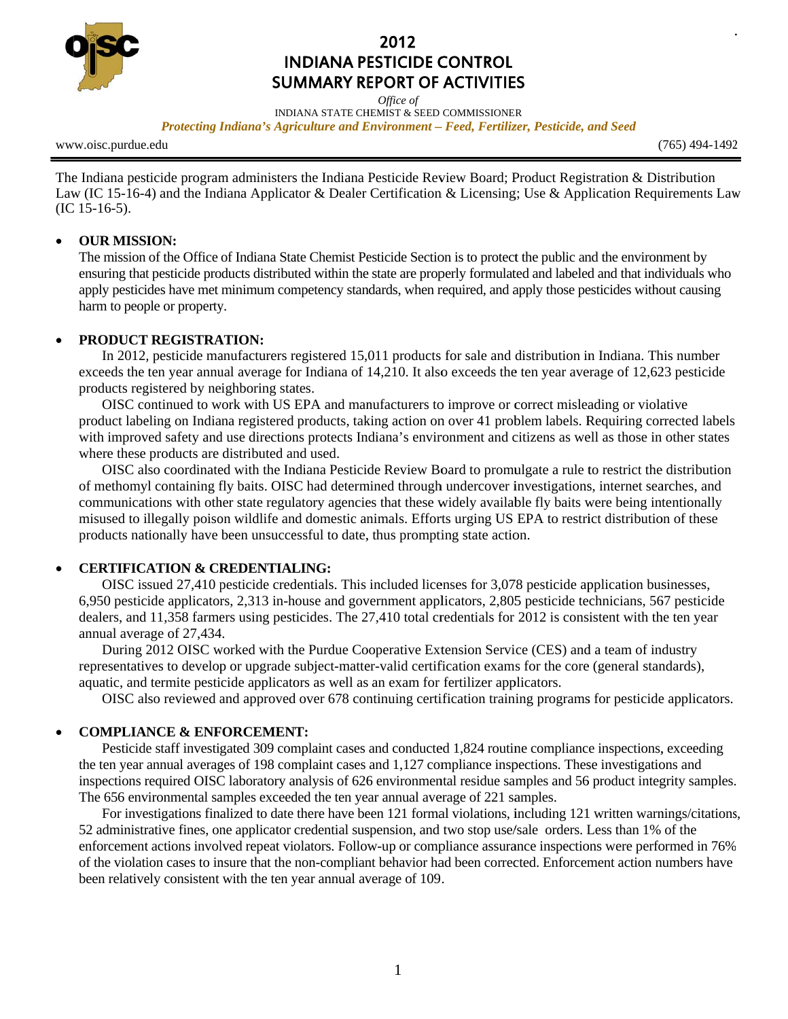

# 2012 **INDIANA PESTICIDE CONTROL SUMMARY REPORT OF ACTIVITIES**

Office of INDIANA STATE CHEMIST & SEED COMMISSIONER Protecting Indiana's Agriculture and Environment – Feed, Fertilizer, Pesticide, and Seed

www.oisc.purdue.edu

 $(765)$  494-1492

The Indiana pesticide program administers the Indiana Pesticide Review Board; Product Registration & Distribution Law (IC 15-16-4) and the Indiana Applicator & Dealer Certification & Licensing; Use & Application Requirements Law  $(IC 15-16-5).$ 

#### **OUR MISSION:**  $\bullet$

The mission of the Office of Indiana State Chemist Pesticide Section is to protect the public and the environment by ensuring that pesticide products distributed within the state are properly formulated and labeled and that individuals who apply pesticides have met minimum competency standards, when required, and apply those pesticides without causing harm to people or property.

### PRODUCT REGISTRATION:

In 2012, pesticide manufacturers registered 15,011 products for sale and distribution in Indiana. This number exceeds the ten year annual average for Indiana of 14,210. It also exceeds the ten year average of 12,623 pesticide products registered by neighboring states.

OISC continued to work with US EPA and manufacturers to improve or correct misleading or violative product labeling on Indiana registered products, taking action on over 41 problem labels. Requiring corrected labels with improved safety and use directions protects Indiana's environment and citizens as well as those in other states where these products are distributed and used.

OISC also coordinated with the Indiana Pesticide Review Board to promulgate a rule to restrict the distribution of methomyl containing fly baits. OISC had determined through undercover investigations, internet searches, and communications with other state regulatory agencies that these widely available fly baits were being intentionally misused to illegally poison wildlife and domestic animals. Efforts urging US EPA to restrict distribution of these products nationally have been unsuccessful to date, thus prompting state action.

# **CERTIFICATION & CREDENTIALING:**

OISC issued 27,410 pesticide credentials. This included licenses for 3,078 pesticide application businesses, 6,950 pesticide applicators, 2,313 in-house and government applicators, 2,805 pesticide technicians, 567 pesticide dealers, and 11,358 farmers using pesticides. The 27,410 total credentials for 2012 is consistent with the ten year annual average of 27,434.

During 2012 OISC worked with the Purdue Cooperative Extension Service (CES) and a team of industry representatives to develop or upgrade subject-matter-valid certification exams for the core (general standards), aquatic, and termite pesticide applicators as well as an exam for fertilizer applicators.

OISC also reviewed and approved over 678 continuing certification training programs for pesticide applicators.

# **COMPLIANCE & ENFORCEMENT:**

Pesticide staff investigated 309 complaint cases and conducted 1,824 routine compliance inspections, exceeding the ten year annual averages of 198 complaint cases and 1,127 compliance inspections. These investigations and inspections required OISC laboratory analysis of 626 environmental residue samples and 56 product integrity samples. The 656 environmental samples exceeded the ten year annual average of 221 samples.

For investigations finalized to date there have been 121 formal violations, including 121 written warnings/citations, 52 administrative fines, one applicator credential suspension, and two stop use/sale orders. Less than 1% of the enforcement actions involved repeat violators. Follow-up or compliance assurance inspections were performed in 76% of the violation cases to insure that the non-compliant behavior had been corrected. Enforcement action numbers have been relatively consistent with the ten year annual average of 109.